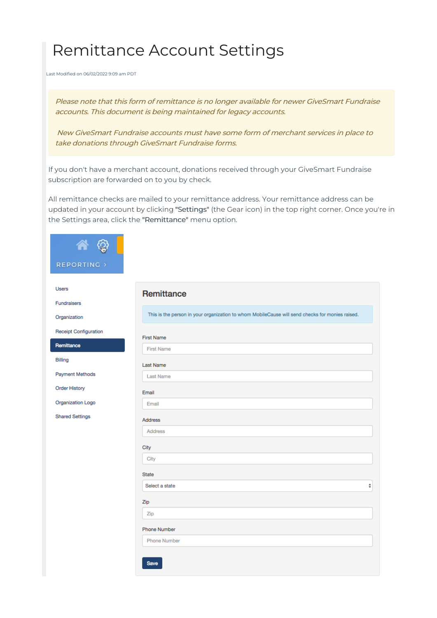## Remittance Account Settings

Last Modified on 06/02/2022 9:09 am PDT

Please note that this form of remittance is no longer available for newer GiveSmart Fundraise accounts. This document is being maintained for legacy accounts.

New GiveSmart Fundraise accounts must have some form of merchant services in place to take donations through GiveSmart Fundraise forms.

If you don't have a merchant account, donations received through your GiveSmart Fundraise subscription are forwarded on to you by check.

All remittance checks are mailed to your remittance address. Your remittance address can be updated in your account by clicking "Settings" (the Gear icon) in the top right corner. Once you're in the Settings area, click the "Remittance" menu option.

| REPORTING >                                                                                                                                                                                                                                                                                                            |                                                                                                 |  |  |
|------------------------------------------------------------------------------------------------------------------------------------------------------------------------------------------------------------------------------------------------------------------------------------------------------------------------|-------------------------------------------------------------------------------------------------|--|--|
| <b>Users</b>                                                                                                                                                                                                                                                                                                           | Remittance                                                                                      |  |  |
| Fundraisers                                                                                                                                                                                                                                                                                                            | This is the person in your organization to whom MobileCause will send checks for monies raised. |  |  |
| Organization<br><b>Receipt Configuration</b><br><b>First Name</b><br>Remittance<br><b>First Name</b><br><b>Billing</b><br>Last Name<br><b>Payment Methods</b><br><b>Last Name</b><br><b>Order History</b><br>Email<br>Organization Logo<br>Email<br><b>Shared Settings</b><br><b>Address</b><br><b>Address</b><br>City |                                                                                                 |  |  |
|                                                                                                                                                                                                                                                                                                                        |                                                                                                 |  |  |
|                                                                                                                                                                                                                                                                                                                        |                                                                                                 |  |  |
|                                                                                                                                                                                                                                                                                                                        |                                                                                                 |  |  |
|                                                                                                                                                                                                                                                                                                                        |                                                                                                 |  |  |
|                                                                                                                                                                                                                                                                                                                        |                                                                                                 |  |  |
|                                                                                                                                                                                                                                                                                                                        |                                                                                                 |  |  |
|                                                                                                                                                                                                                                                                                                                        |                                                                                                 |  |  |
|                                                                                                                                                                                                                                                                                                                        |                                                                                                 |  |  |
|                                                                                                                                                                                                                                                                                                                        | City                                                                                            |  |  |
|                                                                                                                                                                                                                                                                                                                        | <b>State</b>                                                                                    |  |  |
|                                                                                                                                                                                                                                                                                                                        | $\overset{\mathtt{a}}{\mathtt{v}}$<br>Select a state                                            |  |  |
|                                                                                                                                                                                                                                                                                                                        | Zip                                                                                             |  |  |
|                                                                                                                                                                                                                                                                                                                        | Zip                                                                                             |  |  |
|                                                                                                                                                                                                                                                                                                                        | <b>Phone Number</b>                                                                             |  |  |
|                                                                                                                                                                                                                                                                                                                        | <b>Phone Number</b>                                                                             |  |  |
|                                                                                                                                                                                                                                                                                                                        | Save                                                                                            |  |  |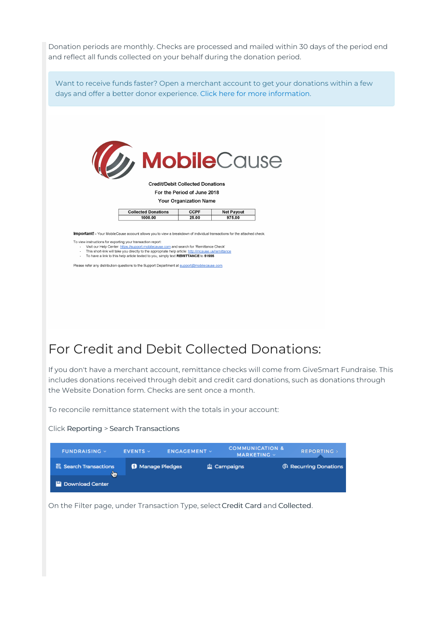Donation periods are monthly. Checks are processed and mailed within 30 days of the period end and reflect all funds collected on your behalf during the donation period.

Want to receive funds faster? Open a merchant account to get your donations within a few days and offer a better donor experience. Click here for more [information](http://mcause.us/funds).



Your Organization Name

| <b>Collected Donations</b> | CCPF  | <b>Net Payout</b> |
|----------------------------|-------|-------------------|
| 1000.00                    | 25.00 | 975.00            |

**Important!** - Your MobileCause account allows you to view a breakdown of individual transactions for the attached check

To view instructions for exporting your transaction report:

- 
- m is usually spin the policy of the system of the system and search for 'Remittance Check'<br>This short-link will take you directly to the appropriate help article: http://mcause.us/remittance<br>To have a link to this help art

Please refer any distribution questions to the Support Department at support@mobilecause.com.

## For Credit and Debit Collected Donations:

If you don't have a merchant account, remittance checks will come from GiveSmart Fundraise. This includes donations received through debit and credit card donations, such as donations through the Website Donation form. Checks are sent once a month.

To reconcile remittance statement with the totals in your account:

Click Reporting > Search Transactions

| <b>FUNDRAISING</b> v              | <b>EVENTS</b> $\vee$    | <b>ENGAGEMENT v</b> | <b>COMMUNICATION &amp;</b><br>MARKETING $\sim$ | <b>REPORTING</b> >           |
|-----------------------------------|-------------------------|---------------------|------------------------------------------------|------------------------------|
| <b>最 Search Transactions</b><br>₩ | <b>8</b> Manage Pledges |                     | <sup>2</sup> Campaigns                         | <b>6 Recurring Donations</b> |
| Download Center                   |                         |                     |                                                |                              |

On the Filter page, under Transaction Type, selectCredit Card and Collected.